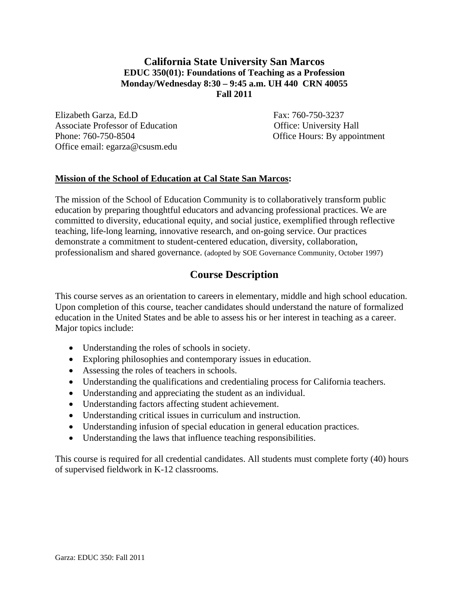# **California State University San Marcos EDUC 350(01): Foundations of Teaching as a Profession Monday/Wednesday 8:30 – 9:45 a.m. UH 440 CRN 40055 Fall 2011**

Elizabeth Garza, Ed.D Fax: 760-750-3237 Associate Professor of Education **Contact Contact Contact Contact Contact Contact Contact Contact Contact Contact Contact Contact Contact Contact Contact Contact Contact Contact Contact Contact Contact Contact Contact Cont** Phone: 760-750-8504 Office Hours: By appointment Office email: egarza@csusm.edu

## **Mission of the School of Education at Cal State San Marcos:**

The mission of the School of Education Community is to collaboratively transform public education by preparing thoughtful educators and advancing professional practices. We are committed to diversity, educational equity, and social justice, exemplified through reflective teaching, life-long learning, innovative research, and on-going service. Our practices demonstrate a commitment to student-centered education, diversity, collaboration, professionalism and shared governance. (adopted by SOE Governance Community, October 1997)

# **Course Description**

This course serves as an orientation to careers in elementary, middle and high school education. Upon completion of this course, teacher candidates should understand the nature of formalized education in the United States and be able to assess his or her interest in teaching as a career. Major topics include:

- Understanding the roles of schools in society.
- Exploring philosophies and contemporary issues in education.
- Assessing the roles of teachers in schools.
- Understanding the qualifications and credentialing process for California teachers.
- Understanding and appreciating the student as an individual.
- Understanding factors affecting student achievement.
- Understanding critical issues in curriculum and instruction.
- Understanding infusion of special education in general education practices.
- Understanding the laws that influence teaching responsibilities.

This course is required for all credential candidates. All students must complete forty (40) hours of supervised fieldwork in K-12 classrooms.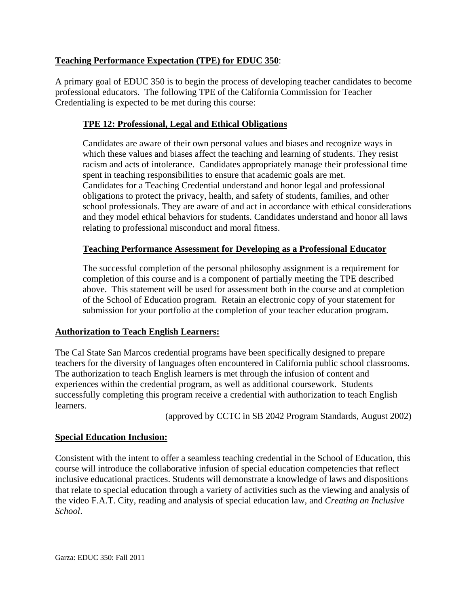# **Teaching Performance Expectation (TPE) for EDUC 350**:

A primary goal of EDUC 350 is to begin the process of developing teacher candidates to become professional educators. The following TPE of the California Commission for Teacher Credentialing is expected to be met during this course:

# **TPE 12: Professional, Legal and Ethical Obligations**

Candidates are aware of their own personal values and biases and recognize ways in which these values and biases affect the teaching and learning of students. They resist racism and acts of intolerance. Candidates appropriately manage their professional time spent in teaching responsibilities to ensure that academic goals are met. Candidates for a Teaching Credential understand and honor legal and professional obligations to protect the privacy, health, and safety of students, families, and other school professionals. They are aware of and act in accordance with ethical considerations and they model ethical behaviors for students. Candidates understand and honor all laws relating to professional misconduct and moral fitness.

## **Teaching Performance Assessment for Developing as a Professional Educator**

The successful completion of the personal philosophy assignment is a requirement for completion of this course and is a component of partially meeting the TPE described above. This statement will be used for assessment both in the course and at completion of the School of Education program. Retain an electronic copy of your statement for submission for your portfolio at the completion of your teacher education program.

## **Authorization to Teach English Learners:**

The Cal State San Marcos credential programs have been specifically designed to prepare teachers for the diversity of languages often encountered in California public school classrooms. The authorization to teach English learners is met through the infusion of content and experiences within the credential program, as well as additional coursework. Students successfully completing this program receive a credential with authorization to teach English learners.

(approved by CCTC in SB 2042 Program Standards, August 2002)

## **Special Education Inclusion:**

Consistent with the intent to offer a seamless teaching credential in the School of Education, this course will introduce the collaborative infusion of special education competencies that reflect inclusive educational practices. Students will demonstrate a knowledge of laws and dispositions that relate to special education through a variety of activities such as the viewing and analysis of the video F.A.T. City, reading and analysis of special education law, and *Creating an Inclusive School*.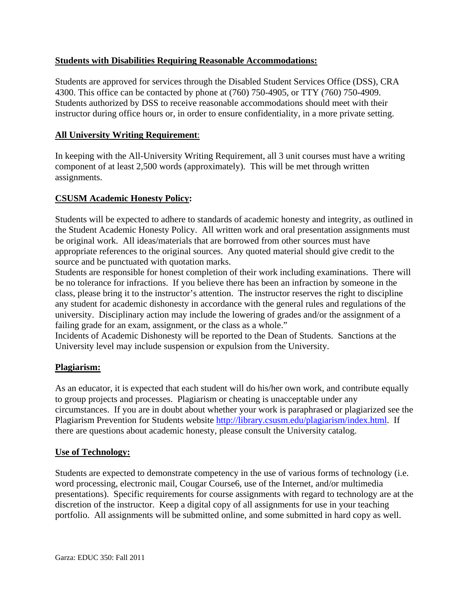## **Students with Disabilities Requiring Reasonable Accommodations:**

Students are approved for services through the Disabled Student Services Office (DSS), CRA 4300. This office can be contacted by phone at (760) 750-4905, or TTY (760) 750-4909. Students authorized by DSS to receive reasonable accommodations should meet with their instructor during office hours or, in order to ensure confidentiality, in a more private setting.

# **All University Writing Requirement:**

**All University Writing Requirement**: In keeping with the All-University Writing Requirement, all 3 unit courses must have a writing component of at least 2,500 words (approximately). This will be met through written assignments.

# **CSUSM Academic Honesty Policy:**

Students will be expected to adhere to standards of academic honesty and integrity, as outlined in the Student Academic Honesty Policy. All written work and oral presentation assignments must be original work. All ideas/materials that are borrowed from other sources must have appropriate references to the original sources. Any quoted material should give credit to the source and be punctuated with quotation marks.

Students are responsible for honest completion of their work including examinations. There will be no tolerance for infractions. If you believe there has been an infraction by someone in the class, please bring it to the instructor's attention. The instructor reserves the right to discipline any student for academic dishonesty in accordance with the general rules and regulations of the university. Disciplinary action may include the lowering of grades and/or the assignment of a failing grade for an exam, assignment, or the class as a whole."

Incidents of Academic Dishonesty will be reported to the Dean of Students. Sanctions at the University level may include suspension or expulsion from the University.

## **Plagiarism:**

As an educator, it is expected that each student will do his/her own work, and contribute equally to group projects and processes. Plagiarism or cheating is unacceptable under any circumstances. If you are in doubt about whether your work is paraphrased or plagiarized see the Plagiarism Prevention for Students website http://library.csusm.edu/plagiarism/index.html. If there are questions about academic honesty, please consult the University catalog.

## **Use of Technology:**

Students are expected to demonstrate competency in the use of various forms of technology (i.e. word processing, electronic mail, Cougar Course6, use of the Internet, and/or multimedia presentations). Specific requirements for course assignments with regard to technology are at the discretion of the instructor. Keep a digital copy of all assignments for use in your teaching portfolio. All assignments will be submitted online, and some submitted in hard copy as well.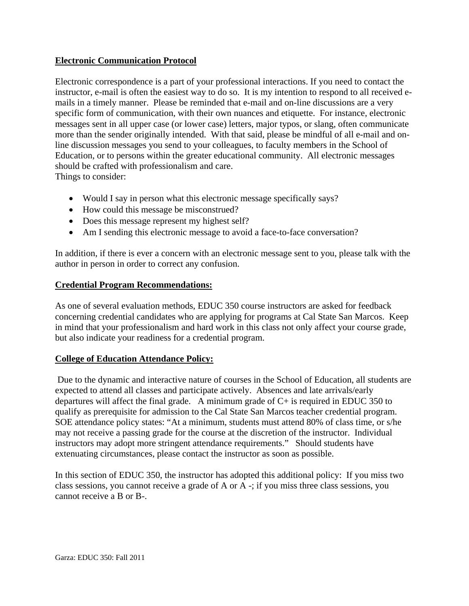## **Electronic Communication Protocol**

Electronic correspondence is a part of your professional interactions. If you need to contact the instructor, e-mail is often the easiest way to do so. It is my intention to respond to all received emails in a timely manner. Please be reminded that e-mail and on-line discussions are a very specific form of communication, with their own nuances and etiquette. For instance, electronic messages sent in all upper case (or lower case) letters, major typos, or slang, often communicate more than the sender originally intended. With that said, please be mindful of all e-mail and online discussion messages you send to your colleagues, to faculty members in the School of Education, or to persons within the greater educational community. All electronic messages should be crafted with professionalism and care. Things to consider:

- Would I say in person what this electronic message specifically says?
- How could this message be misconstrued?
- Does this message represent my highest self?
- Am I sending this electronic message to avoid a face-to-face conversation?

In addition, if there is ever a concern with an electronic message sent to you, please talk with the author in person in order to correct any confusion.

#### **Credential Program Recommendations:**

As one of several evaluation methods, EDUC 350 course instructors are asked for feedback concerning credential candidates who are applying for programs at Cal State San Marcos. Keep in mind that your professionalism and hard work in this class not only affect your course grade, but also indicate your readiness for a credential program.

## **College of Education Attendance Policy:**

 Due to the dynamic and interactive nature of courses in the School of Education, all students are expected to attend all classes and participate actively. Absences and late arrivals/early departures will affect the final grade. A minimum grade of  $C<sub>+</sub>$  is required in EDUC 350 to qualify as prerequisite for admission to the Cal State San Marcos teacher credential program. SOE attendance policy states: "At a minimum, students must attend 80% of class time, or s/he may not receive a passing grade for the course at the discretion of the instructor. Individual instructors may adopt more stringent attendance requirements." Should students have extenuating circumstances, please contact the instructor as soon as possible.

In this section of EDUC 350, the instructor has adopted this additional policy: If you miss two class sessions, you cannot receive a grade of A or A -; if you miss three class sessions, you cannot receive a B or B-.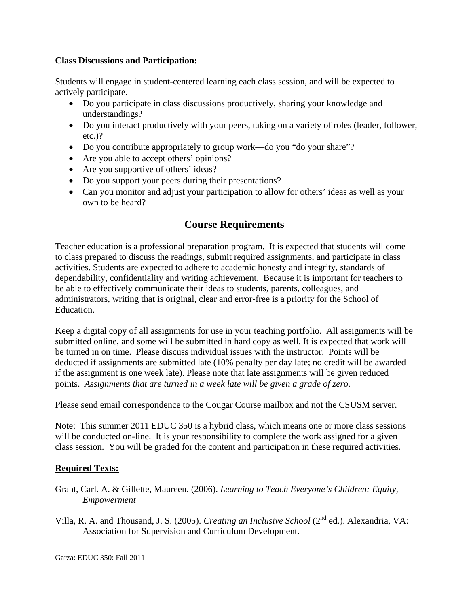#### **Class Discussions and Participation:**

Students will engage in student-centered learning each class session, and will be expected to actively participate.

- Do you participate in class discussions productively, sharing your knowledge and understandings?
- Do you interact productively with your peers, taking on a variety of roles (leader, follower, etc.)?
- Do you contribute appropriately to group work—do you "do your share"?
- Are you able to accept others' opinions?
- Are you supportive of others' ideas?
- Do you support your peers during their presentations?
- Can you monitor and adjust your participation to allow for others' ideas as well as your own to be heard?

# **Course Requirements**

Teacher education is a professional preparation program. It is expected that students will come to class prepared to discuss the readings, submit required assignments, and participate in class activities. Students are expected to adhere to academic honesty and integrity, standards of dependability, confidentiality and writing achievement. Because it is important for teachers to be able to effectively communicate their ideas to students, parents, colleagues, and administrators, writing that is original, clear and error-free is a priority for the School of Education.

Keep a digital copy of all assignments for use in your teaching portfolio. All assignments will be submitted online, and some will be submitted in hard copy as well. It is expected that work will be turned in on time. Please discuss individual issues with the instructor. Points will be deducted if assignments are submitted late (10% penalty per day late; no credit will be awarded if the assignment is one week late). Please note that late assignments will be given reduced points. *Assignments that are turned in a week late will be given a grade of zero.* 

Please send email correspondence to the Cougar Course mailbox and not the CSUSM server.

Note: This summer 2011 EDUC 350 is a hybrid class, which means one or more class sessions will be conducted on-line. It is your responsibility to complete the work assigned for a given class session. You will be graded for the content and participation in these required activities.

## **Required Texts:**

- Grant, Carl. A. & Gillette, Maureen. (2006). *Learning to Teach Everyone's Children: Equity, Empowerment*
- Villa, R. A. and Thousand, J. S. (2005). *Creating an Inclusive School* (2nd ed.). Alexandria, VA: Association for Supervision and Curriculum Development.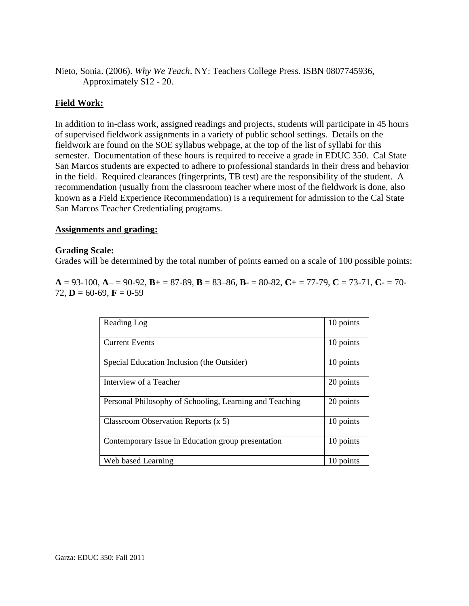Nieto, Sonia. (2006). *Why We Teach*. NY: Teachers College Press. ISBN 0807745936, Approximately \$12 - 20.

### **Field Work:**

In addition to in-class work, assigned readings and projects, students will participate in 45 hours of supervised fieldwork assignments in a variety of public school settings. Details on the fieldwork are found on the SOE syllabus webpage, at the top of the list of syllabi for this semester. Documentation of these hours is required to receive a grade in EDUC 350. Cal State San Marcos students are expected to adhere to professional standards in their dress and behavior in the field. Required clearances (fingerprints, TB test) are the responsibility of the student. A recommendation (usually from the classroom teacher where most of the fieldwork is done, also known as a Field Experience Recommendation) is a requirement for admission to the Cal State San Marcos Teacher Credentialing programs.

#### **Assignments and grading:**

#### **Grading Scale:**

Grades will be determined by the total number of points earned on a scale of 100 possible points:

 $A = 93-100$ ,  $A = 90-92$ ,  $B = 87-89$ ,  $B = 83-86$ ,  $B = 80-82$ ,  $C = 77-79$ ,  $C = 73-71$ ,  $C = 70-79$ 72, **D** = 60-69, **F** = 0-59

| Reading Log                                             | 10 points |
|---------------------------------------------------------|-----------|
| <b>Current Events</b>                                   | 10 points |
| Special Education Inclusion (the Outsider)              | 10 points |
| Interview of a Teacher                                  | 20 points |
| Personal Philosophy of Schooling, Learning and Teaching | 20 points |
| Classroom Observation Reports $(x 5)$                   | 10 points |
| Contemporary Issue in Education group presentation      | 10 points |
| Web based Learning                                      | 10 points |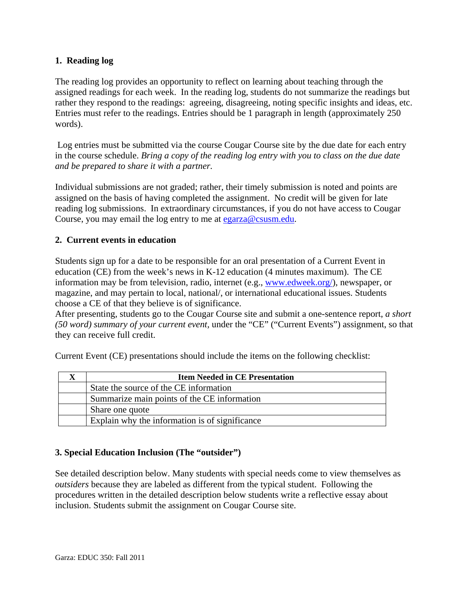## **1. Reading log**

The reading log provides an opportunity to reflect on learning about teaching through the assigned readings for each week. In the reading log, students do not summarize the readings but rather they respond to the readings: agreeing, disagreeing, noting specific insights and ideas, etc. Entries must refer to the readings. Entries should be 1 paragraph in length (approximately 250 words).

 Log entries must be submitted via the course Cougar Course site by the due date for each entry in the course schedule. *Bring a copy of the reading log entry with you to class on the due date and be prepared to share it with a partner.* 

Individual submissions are not graded; rather, their timely submission is noted and points are assigned on the basis of having completed the assignment. No credit will be given for late reading log submissions. In extraordinary circumstances, if you do not have access to Cougar Course, you may email the log entry to me at egarza@csusm.edu.

## **2. Current events in education**

Students sign up for a date to be responsible for an oral presentation of a Current Event in education (CE) from the week's news in K-12 education (4 minutes maximum). The CE information may be from television, radio, internet (e.g., www.edweek.org/), newspaper, or magazine, and may pertain to local, national/, or international educational issues. Students choose a CE of that they believe is of significance.

After presenting, students go to the Cougar Course site and submit a one-sentence report, *a short (50 word) summary of your current event,* under the "CE" ("Current Events") assignment, so that they can receive full credit.

Current Event (CE) presentations should include the items on the following checklist:

| <b>Item Needed in CE Presentation</b>          |  |
|------------------------------------------------|--|
| State the source of the CE information         |  |
| Summarize main points of the CE information    |  |
| Share one quote                                |  |
| Explain why the information is of significance |  |

## **3. Special Education Inclusion (The "outsider")**

See detailed description below. Many students with special needs come to view themselves as *outsiders* because they are labeled as different from the typical student. Following the procedures written in the detailed description below students write a reflective essay about inclusion. Students submit the assignment on Cougar Course site.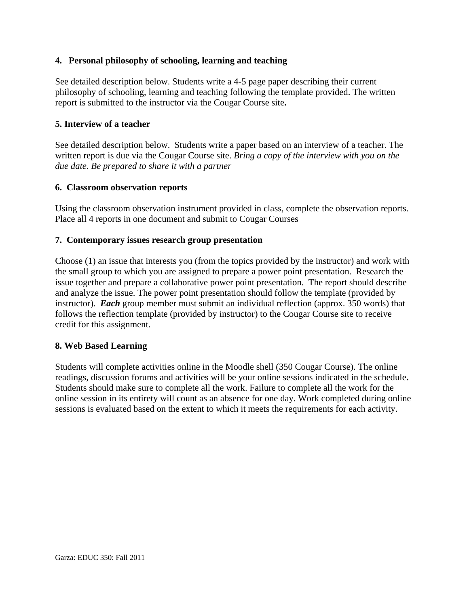#### **4. Personal philosophy of schooling, learning and teaching**

See detailed description below. Students write a 4-5 page paper describing their current philosophy of schooling, learning and teaching following the template provided. The written report is submitted to the instructor via the Cougar Course site**.** 

#### **5. Interview of a teacher**

See detailed description below. Students write a paper based on an interview of a teacher. The written report is due via the Cougar Course site. *Bring a copy of the interview with you on the due date. Be prepared to share it with a partner* 

#### **6. Classroom observation reports**

Using the classroom observation instrument provided in class, complete the observation reports. Place all 4 reports in one document and submit to Cougar Courses

#### **7. Contemporary issues research group presentation**

Choose (1) an issue that interests you (from the topics provided by the instructor) and work with the small group to which you are assigned to prepare a power point presentation. Research the issue together and prepare a collaborative power point presentation. The report should describe and analyze the issue. The power point presentation should follow the template (provided by instructor). *Each* group member must submit an individual reflection (approx. 350 words) that follows the reflection template (provided by instructor) to the Cougar Course site to receive credit for this assignment.

#### **8. Web Based Learning**

Students will complete activities online in the Moodle shell (350 Cougar Course). The online readings, discussion forums and activities will be your online sessions indicated in the schedule**.**  Students should make sure to complete all the work. Failure to complete all the work for the online session in its entirety will count as an absence for one day. Work completed during online sessions is evaluated based on the extent to which it meets the requirements for each activity.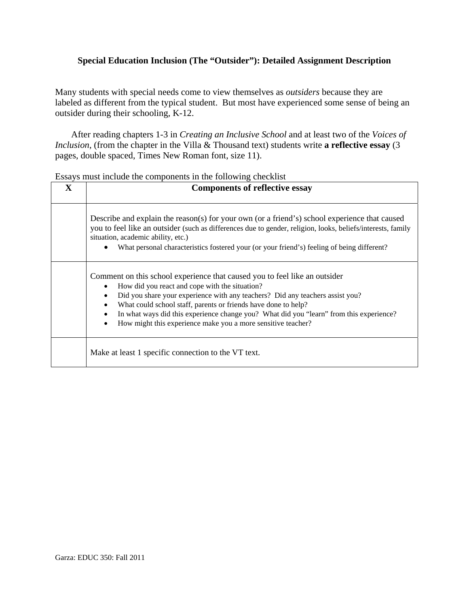## **Special Education Inclusion (The "Outsider"): Detailed Assignment Description**

Many students with special needs come to view themselves as *outsiders* because they are labeled as different from the typical student. But most have experienced some sense of being an outsider during their schooling, K-12.

After reading chapters 1-3 in *Creating an Inclusive School* and at least two of the *Voices of Inclusion*, (from the chapter in the Villa & Thousand text) students write **a reflective essay** (3 pages, double spaced, Times New Roman font, size 11).

|              | Essays must include the components in the following checkilist                                                                                                                                                                                                                                                                                                                                                                                          |  |  |
|--------------|---------------------------------------------------------------------------------------------------------------------------------------------------------------------------------------------------------------------------------------------------------------------------------------------------------------------------------------------------------------------------------------------------------------------------------------------------------|--|--|
| $\mathbf{X}$ | <b>Components of reflective essay</b>                                                                                                                                                                                                                                                                                                                                                                                                                   |  |  |
|              |                                                                                                                                                                                                                                                                                                                                                                                                                                                         |  |  |
|              | Describe and explain the reason(s) for your own (or a friend's) school experience that caused<br>you to feel like an outsider (such as differences due to gender, religion, looks, beliefs/interests, family<br>situation, academic ability, etc.)<br>What personal characteristics fostered your (or your friend's) feeling of being different?                                                                                                        |  |  |
|              | Comment on this school experience that caused you to feel like an outsider<br>How did you react and cope with the situation?<br>Did you share your experience with any teachers? Did any teachers assist you?<br>What could school staff, parents or friends have done to help?<br>In what ways did this experience change you? What did you "learn" from this experience?<br>How might this experience make you a more sensitive teacher?<br>$\bullet$ |  |  |
|              | Make at least 1 specific connection to the VT text.                                                                                                                                                                                                                                                                                                                                                                                                     |  |  |

Essays must include the components in the following checklist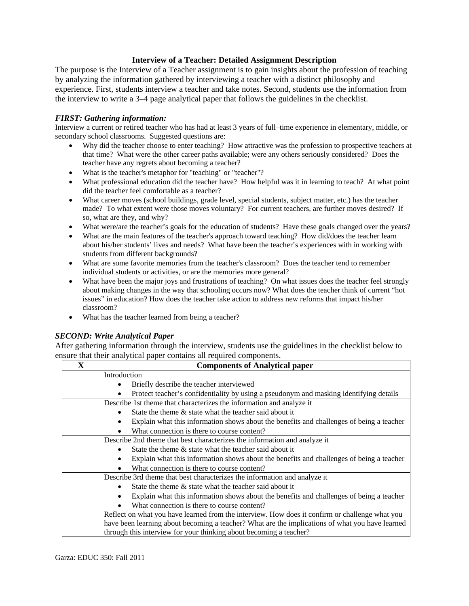#### **Interview of a Teacher: Detailed Assignment Description**

The purpose is the Interview of a Teacher assignment is to gain insights about the profession of teaching by analyzing the information gathered by interviewing a teacher with a distinct philosophy and experience. First, students interview a teacher and take notes. Second, students use the information from the interview to write a 3–4 page analytical paper that follows the guidelines in the checklist.

#### *FIRST: Gathering information:*

 secondary school classrooms. Suggested questions are: Interview a current or retired teacher who has had at least 3 years of full–time experience in elementary, middle, or

- Why did the teacher choose to enter teaching? How attractive was the profession to prospective teachers at that time? What were the other career paths available; were any others seriously considered? Does the teacher have any regrets about becoming a teacher?
- What is the teacher's metaphor for "teaching" or "teacher"?
- What professional education did the teacher have? How helpful was it in learning to teach? At what point did the teacher feel comfortable as a teacher?
- made? To what extent were those moves voluntary? For current teachers, are further moves desired? If What career moves (school buildings, grade level, special students, subject matter, etc.) has the teacher so, what are they, and why?
- What were/are the teacher's goals for the education of students? Have these goals changed over the years?
- about his/her students' lives and needs? What have been the teacher's experiences with in working with students from different backgrounds? What are the main features of the teacher's approach toward teaching? How did/does the teacher learn
- individual students or activities, or are the memories more general? What are some favorite memories from the teacher's classroom? Does the teacher tend to remember
- What have been the major joys and frustrations of teaching? On what issues does the teacher feel strongly about making changes in the way that schooling occurs now? What does the teacher think of current "hot issues" in education? How does the teacher take action to address new reforms that impact his/her classroom?
- What has the teacher learned from being a teacher?

#### *SECOND: Write Analytical Paper*

After gathering information through the interview, students use the guidelines in the checklist below to ensure that their analytical paper contains all required components.

| $\mathbf X$ | <b>Components of Analytical paper</b>                                                                 |  |
|-------------|-------------------------------------------------------------------------------------------------------|--|
|             | Introduction                                                                                          |  |
|             | Briefly describe the teacher interviewed                                                              |  |
|             | Protect teacher's confidentiality by using a pseudonym and masking identifying details                |  |
|             | Describe 1st theme that characterizes the information and analyze it                                  |  |
|             | State the theme & state what the teacher said about it<br>$\bullet$                                   |  |
|             | Explain what this information shows about the benefits and challenges of being a teacher<br>٠         |  |
|             | What connection is there to course content?                                                           |  |
|             | Describe 2nd theme that best characterizes the information and analyze it                             |  |
|             | State the theme & state what the teacher said about it                                                |  |
|             | Explain what this information shows about the benefits and challenges of being a teacher              |  |
|             | What connection is there to course content?                                                           |  |
|             | Describe 3rd theme that best characterizes the information and analyze it                             |  |
|             | State the theme $\&$ state what the teacher said about it                                             |  |
|             | Explain what this information shows about the benefits and challenges of being a teacher<br>$\bullet$ |  |
|             | What connection is there to course content?                                                           |  |
|             | Reflect on what you have learned from the interview. How does it confirm or challenge what you        |  |
|             | have been learning about becoming a teacher? What are the implications of what you have learned       |  |
|             | through this interview for your thinking about becoming a teacher?                                    |  |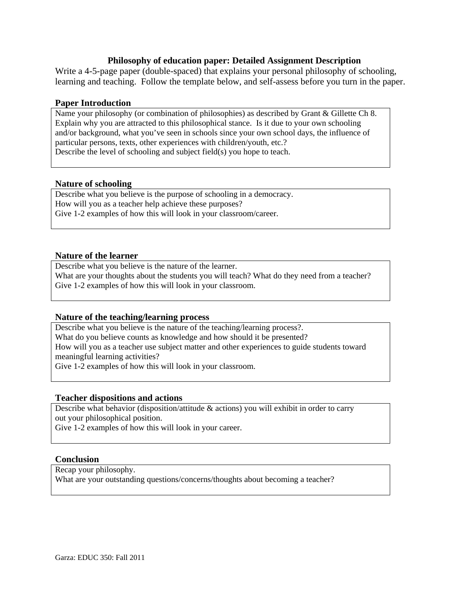#### **Philosophy of education paper: Detailed Assignment Description**

Write a 4-5-page paper (double-spaced) that explains your personal philosophy of schooling, learning and teaching. Follow the template below, and self-assess before you turn in the paper.

#### **Paper Introduction**

Name your philosophy (or combination of philosophies) as described by Grant & Gillette Ch 8. Explain why you are attracted to this philosophical stance. Is it due to your own schooling and/or background, what you've seen in schools since your own school days, the influence of particular persons, texts, other experiences with children/youth, etc.? Describe the level of schooling and subject field(s) you hope to teach.

#### **Nature of schooling**

Describe what you believe is the purpose of schooling in a democracy. How will you as a teacher help achieve these purposes? Give 1-2 examples of how this will look in your classroom/career.

#### **Nature of the learner**

Describe what you believe is the nature of the learner. What are your thoughts about the students you will teach? What do they need from a teacher? Give 1-2 examples of how this will look in your classroom.

#### **Nature of the teaching/learning process**

 meaningful learning activities? Describe what you believe is the nature of the teaching/learning process?. What do you believe counts as knowledge and how should it be presented? How will you as a teacher use subject matter and other experiences to guide students toward Give 1-2 examples of how this will look in your classroom.

#### **Teacher dispositions and actions**

 Describe what behavior (disposition/attitude & actions) you will exhibit in order to carry out your philosophical position.

Give 1-2 examples of how this will look in your career.

#### **Conclusion**

Recap your philosophy.

What are your outstanding questions/concerns/thoughts about becoming a teacher?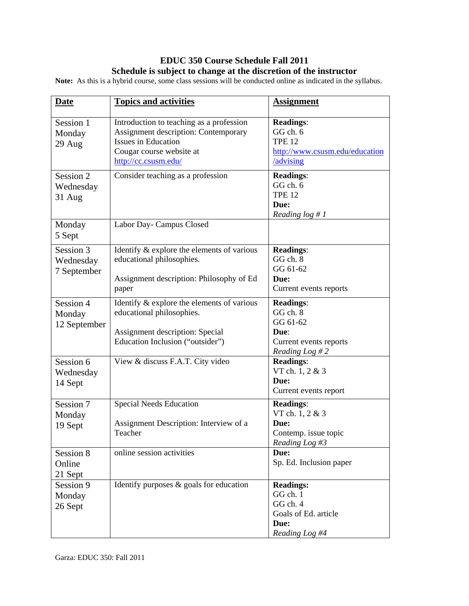## **EDUC 350 Course Schedule Fall 2011 Schedule is subject to change at the discretion of the instructor**

**Note:** As this is a hybrid course, some class sessions will be conducted online as indicated in the syllabus.

| <b>Date</b>                           | <b>Topics and activities</b>                                                                                                                                       | <b>Assignment</b>                                                                            |
|---------------------------------------|--------------------------------------------------------------------------------------------------------------------------------------------------------------------|----------------------------------------------------------------------------------------------|
| Session 1<br>Monday<br>29 Aug         | Introduction to teaching as a profession<br>Assignment description: Contemporary<br><b>Issues in Education</b><br>Cougar course website at<br>http://cc.csusm.edu/ | <b>Readings:</b><br>GG ch. 6<br><b>TPE 12</b><br>http://www.csusm.edu/education<br>/advising |
| Session 2<br>Wednesday<br>$31$ Aug    | Consider teaching as a profession                                                                                                                                  | <b>Readings:</b><br>GG ch. 6<br><b>TPE 12</b><br>Due:<br>Reading $log #1$                    |
| Monday<br>5 Sept                      | Labor Day- Campus Closed                                                                                                                                           |                                                                                              |
| Session 3<br>Wednesday<br>7 September | Identify & explore the elements of various<br>educational philosophies.<br>Assignment description: Philosophy of Ed<br>paper                                       | <b>Readings:</b><br>GG ch. 8<br>GG 61-62<br>Due:<br>Current events reports                   |
| Session 4<br>Monday<br>12 September   | Identify & explore the elements of various<br>educational philosophies.<br>Assignment description: Special<br>Education Inclusion ("outsider")                     | <b>Readings:</b><br>GG ch. 8<br>GG 61-62<br>Due:<br>Current events reports<br>Reading Log #2 |
| Session 6<br>Wednesday<br>14 Sept     | View & discuss F.A.T. City video                                                                                                                                   | <b>Readings:</b><br>VT ch. 1, 2 & 3<br>Due:<br>Current events report                         |
| Session 7<br>Monday<br>19 Sept        | <b>Special Needs Education</b><br>Assignment Description: Interview of a<br>Teacher                                                                                | <b>Readings:</b><br>VT ch. 1, 2 & 3<br>Due:<br>Contemp. issue topic<br>Reading Log $#3$      |
| Session 8<br>Online<br>21 Sept        | online session activities                                                                                                                                          | Due:<br>Sp. Ed. Inclusion paper                                                              |
| Session 9<br>Monday<br>26 Sept        | Identify purposes $\&$ goals for education                                                                                                                         | <b>Readings:</b><br>GG ch. 1<br>GG ch. 4<br>Goals of Ed. article<br>Due:<br>Reading Log #4   |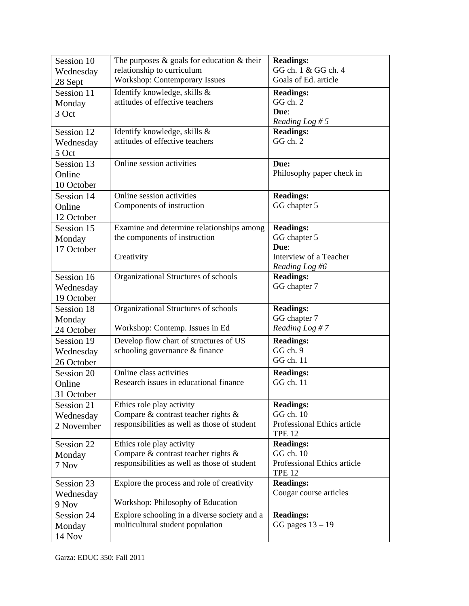| Session 10 | The purposes $\&$ goals for education $\&$ their | <b>Readings:</b>                             |
|------------|--------------------------------------------------|----------------------------------------------|
| Wednesday  | relationship to curriculum                       | GG ch. 1 & GG ch. 4                          |
| 28 Sept    | <b>Workshop: Contemporary Issues</b>             | Goals of Ed. article                         |
| Session 11 | Identify knowledge, skills &                     | <b>Readings:</b>                             |
| Monday     | attitudes of effective teachers                  | GG ch. 2                                     |
| 3 Oct      |                                                  | Due:                                         |
|            |                                                  | Reading Log # $5$                            |
| Session 12 | Identify knowledge, skills &                     | <b>Readings:</b>                             |
| Wednesday  | attitudes of effective teachers                  | GG ch. 2                                     |
| 5 Oct      |                                                  |                                              |
| Session 13 | Online session activities                        | Due:                                         |
| Online     |                                                  | Philosophy paper check in                    |
| 10 October |                                                  |                                              |
| Session 14 | Online session activities                        | <b>Readings:</b>                             |
| Online     | Components of instruction                        | GG chapter 5                                 |
| 12 October |                                                  |                                              |
| Session 15 | Examine and determine relationships among        | <b>Readings:</b>                             |
| Monday     | the components of instruction                    | GG chapter 5                                 |
| 17 October |                                                  | Due:                                         |
|            | Creativity                                       | Interview of a Teacher                       |
|            |                                                  | Reading Log #6                               |
| Session 16 | Organizational Structures of schools             | <b>Readings:</b>                             |
| Wednesday  |                                                  | GG chapter 7                                 |
| 19 October |                                                  |                                              |
| Session 18 | Organizational Structures of schools             | <b>Readings:</b>                             |
| Monday     |                                                  | GG chapter 7                                 |
| 24 October | Workshop: Contemp. Issues in Ed                  | Reading Log #7                               |
| Session 19 | Develop flow chart of structures of US           | <b>Readings:</b>                             |
| Wednesday  | schooling governance & finance                   | GG ch. 9                                     |
| 26 October |                                                  | GG ch. 11                                    |
| Session 20 | Online class activities                          | <b>Readings:</b>                             |
| Online     | Research issues in educational finance           | GG ch. 11                                    |
| 31 October |                                                  |                                              |
| Session 21 | Ethics role play activity                        | <b>Readings:</b>                             |
| Wednesday  | Compare & contrast teacher rights &              | GG ch. 10                                    |
| 2 November | responsibilities as well as those of student     | Professional Ethics article                  |
|            |                                                  | <b>TPE 12</b>                                |
| Session 22 | Ethics role play activity                        | <b>Readings:</b>                             |
| Monday     | Compare & contrast teacher rights &              | GG ch. 10                                    |
| 7 Nov      | responsibilities as well as those of student     | Professional Ethics article<br><b>TPE 12</b> |
| Session 23 | Explore the process and role of creativity       | <b>Readings:</b>                             |
| Wednesday  |                                                  | Cougar course articles                       |
| 9 Nov      | Workshop: Philosophy of Education                |                                              |
| Session 24 | Explore schooling in a diverse society and a     | <b>Readings:</b>                             |
|            | multicultural student population                 | GG pages $13 - 19$                           |
| Monday     |                                                  |                                              |
| 14 Nov     |                                                  |                                              |